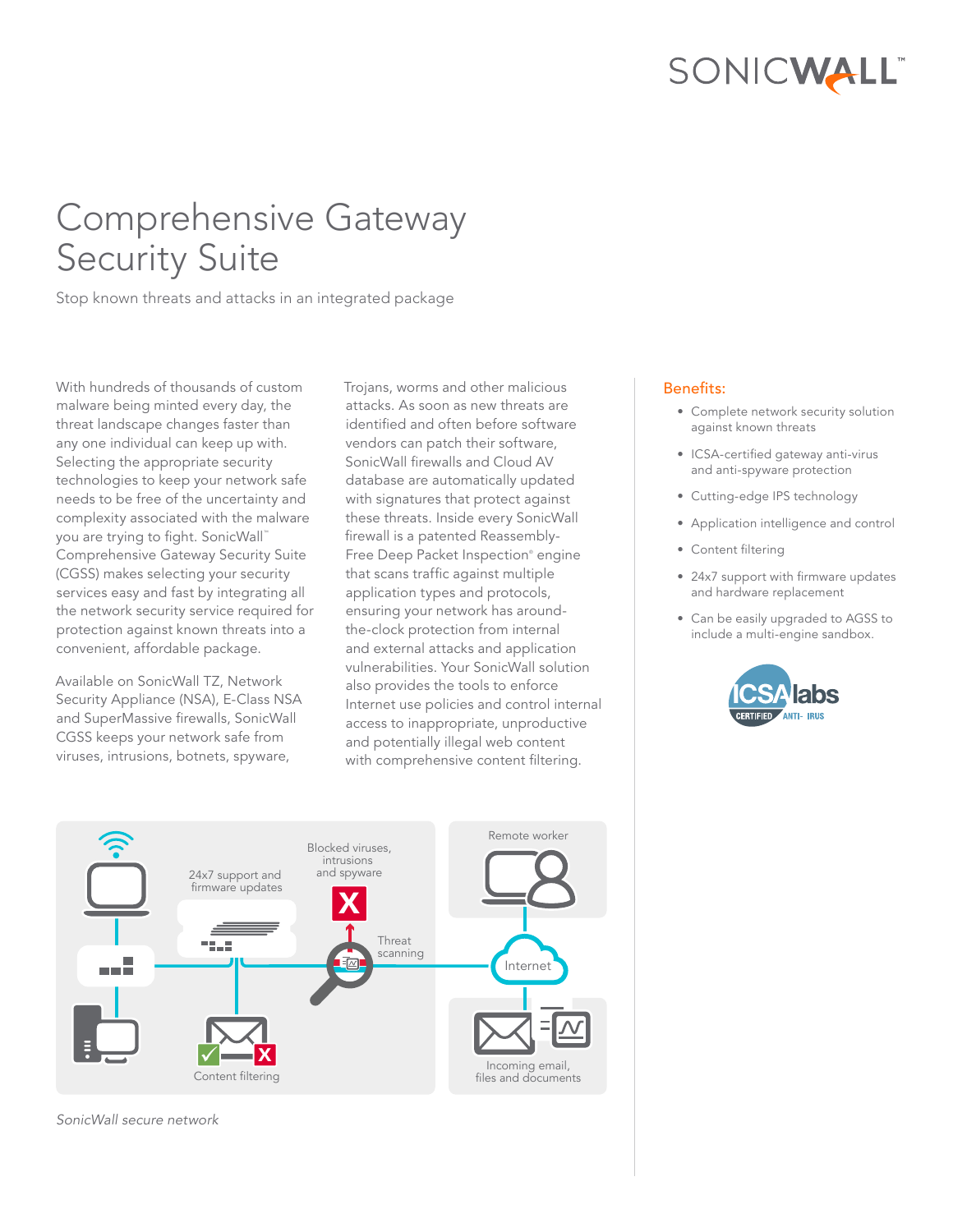# SONICWALL

## Comprehensive Gateway Security Suite

Stop known threats and attacks in an integrated package

With hundreds of thousands of custom malware being minted every day, the threat landscape changes faster than any one individual can keep up with. Selecting the appropriate security technologies to keep your network safe needs to be free of the uncertainty and complexity associated with the malware you are trying to fight. SonicWall™ Comprehensive Gateway Security Suite (CGSS) makes selecting your security services easy and fast by integrating all the network security service required for protection against known threats into a convenient, affordable package.

Available on SonicWall TZ, Network Security Appliance (NSA), E-Class NSA and SuperMassive firewalls, SonicWall CGSS keeps your network safe from viruses, intrusions, botnets, spyware,

Trojans, worms and other malicious attacks. As soon as new threats are identified and often before software vendors can patch their software, SonicWall firewalls and Cloud AV database are automatically updated with signatures that protect against these threats. Inside every SonicWall firewall is a patented Reassembly-Free Deep Packet Inspection® engine that scans traffic against multiple application types and protocols, ensuring your network has aroundthe-clock protection from internal and external attacks and application vulnerabilities. Your SonicWall solution also provides the tools to enforce Internet use policies and control internal access to inappropriate, unproductive and potentially illegal web content with comprehensive content filtering.

#### Benefits:

- Complete network security solution against known threats
- ICSA-certified gateway anti-virus and anti-spyware protection
- Cutting-edge IPS technology
- Application intelligence and control
- Content filtering
- 24x7 support with firmware updates and hardware replacement
- Can be easily upgraded to AGSS to include a multi-engine sandbox.





*SonicWall secure network*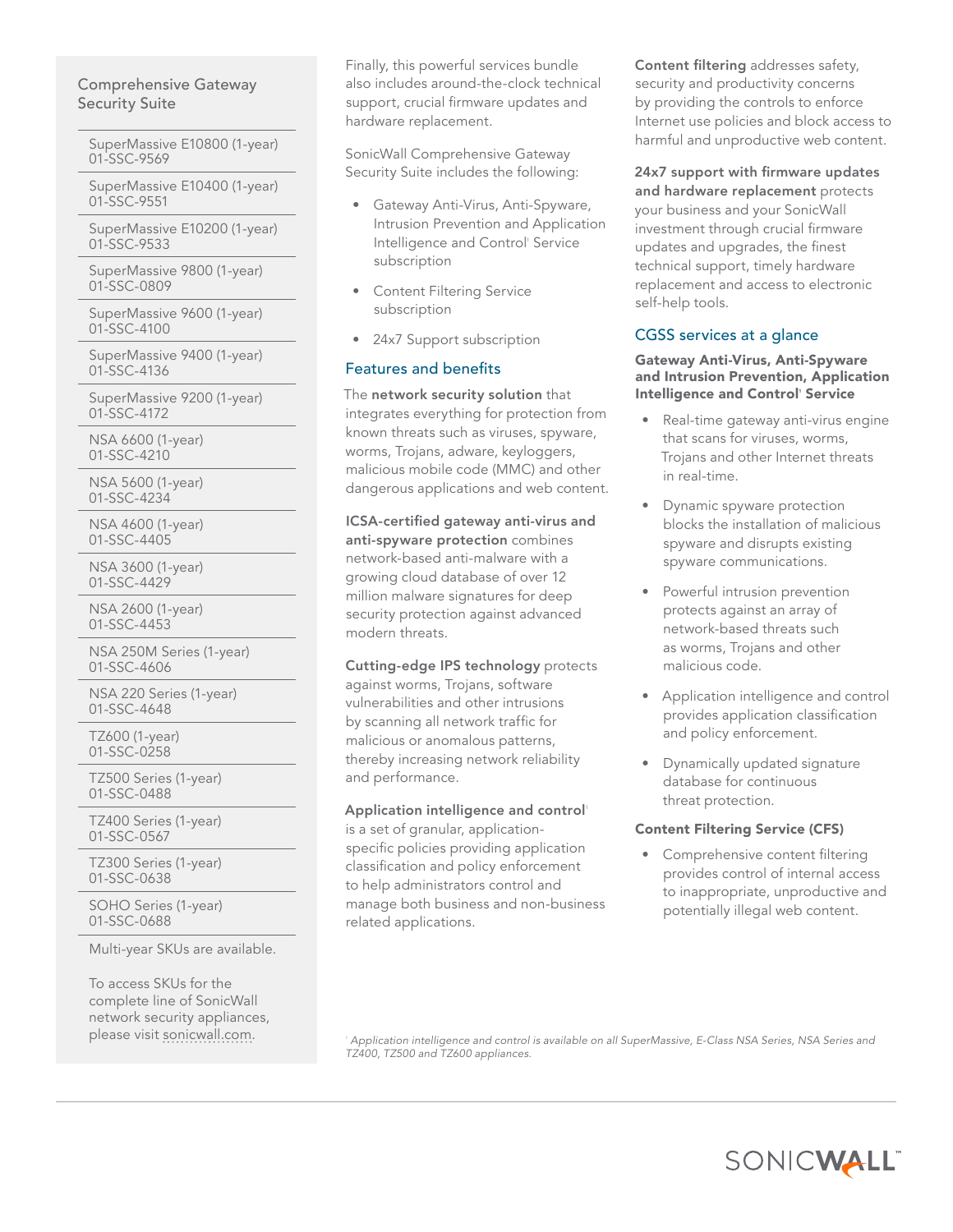#### Comprehensive Gateway Security Suite

SuperMassive E10800 (1-year) 01-SSC-9569

SuperMassive E10400 (1-year) 01-SSC-9551

SuperMassive E10200 (1-year) 01-SSC-9533

SuperMassive 9800 (1-year) 01-SSC-0809

SuperMassive 9600 (1-year) 01-SSC-4100

SuperMassive 9400 (1-year) 01-SSC-4136

SuperMassive 9200 (1-year) 01-SSC-4172

NSA 6600 (1-year) 01-SSC-4210

NSA 5600 (1-year) 01-SSC-4234

NSA 4600 (1-year) 01-SSC-4405

NSA 3600 (1-year) 01-SSC-4429

NSA 2600 (1-year) 01-SSC-4453

NSA 250M Series (1-year) 01-SSC-4606

NSA 220 Series (1-year) 01-SSC-4648

TZ600 (1-year) 01-SSC-0258

TZ500 Series (1-year) 01-SSC-0488

TZ400 Series (1-year) 01-SSC-0567

TZ300 Series (1-year) 01-SSC-0638

SOHO Series (1-year) 01-SSC-0688

Multi-year SKUs are available.

To access SKUs for the complete line of SonicWall network security appliances, please visit [sonicwall.com.](www.sonicwall.com) *<sup>1</sup>*

Finally, this powerful services bundle also includes around-the-clock technical support, crucial firmware updates and hardware replacement.

SonicWall Comprehensive Gateway Security Suite includes the following:

- Gateway Anti-Virus, Anti-Spyware, Intrusion Prevention and Application Intelligence and Control' Service subscription
- **Content Filtering Service** subscription
- 24x7 Support subscription

## Features and benefits

The network security solution that integrates everything for protection from known threats such as viruses, spyware, worms, Trojans, adware, keyloggers, malicious mobile code (MMC) and other dangerous applications and web content.

ICSA-certified gateway anti-virus and anti-spyware protection combines network-based anti-malware with a growing cloud database of over 12 million malware signatures for deep security protection against advanced modern threats.

 Cutting-edge IPS technology protects against worms, Trojans, software vulnerabilities and other intrusions by scanning all network traffic for malicious or anomalous patterns, thereby increasing network reliability and performance.

#### Application intelligence and control'

is a set of granular, applicationspecific policies providing application classification and policy enforcement to help administrators control and manage both business and non-business related applications.

Content filtering addresses safety, security and productivity concerns by providing the controls to enforce Internet use policies and block access to harmful and unproductive web content.

and hardware replacement protects 24x7 support with firmware updates your business and your SonicWall investment through crucial firmware updates and upgrades, the finest technical support, timely hardware replacement and access to electronic self-help tools.

## CGSS services at a glance

#### Gateway Anti-Virus, Anti-Spyware and Intrusion Prevention, Application Intelligence and Control' Service

- • Real-time gateway anti-virus engine that scans for viruses, worms, Trojans and other Internet threats in real-time.
- **Dynamic spyware protection** blocks the installation of malicious spyware and disrupts existing spyware communications.
- Powerful intrusion prevention protects against an array of network-based threats such as worms, Trojans and other malicious code.
- • Application intelligence and control provides application classification and policy enforcement.
- • Dynamically updated signature database for continuous threat protection.

## Content Filtering Service (CFS)

• Comprehensive content filtering provides control of internal access to inappropriate, unproductive and potentially illegal web content.

 *Application intelligence and control is available on all SuperMassive, E-Class NSA Series, NSA Series and TZ400, TZ500 and TZ600 appliances.*